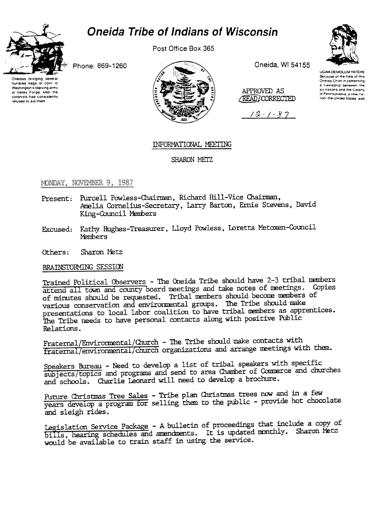

## **Oneida Tribe of Indians of Wisconsin**

Post Office Box 365







Oneida, WI 54155

APPROVED AS READICORRECTED

 $12 - 1 - 87$ 



**UGWA DEMOLUM YATEHE** Because of the help of this Oneida Chief in cementing a friendship between the six nations and the Colony of Pennsylvania, a new na fion the United States, was

## INFORMATIONAL MEETING

SHARON METZ

## MONDAY, NOVEMBER 9, 1987

- Present: Purcell Powless-Chairman, Richard Hill-Vice Chairman, Amelia Cornelius-Secretary, Larry Barton, Ernie Stevens, David King-Council Members
- Excused: Kathy Hughes-Treasurer, Lloyd Powless, Loretta Metoxen-Council **Members**
- Sharon Metz Others:

BRAINSTORMING SESSION

Trained Political Observers - The Oneida Tribe should have 2-3 tribal members attend all town and county board meetings and take notes of meetings. Copies of minutes should be requested. Tribal members should become members of various conservation and environmental groups. The Tribe should make presentations to local labor coalition to have tribal members as apprentices. The Tribe needs to have personal contacts along with positive Public Relations.

Fraternal/Environmental/Church - The Tribe should make contacts with fraternal/environmental/church organizations and arrange meetings with them.

Speakers Bureau - Need to develop a list of tribal speakers with specific subjects/topics and programs and send to area Chamber of Commerce and churches and schools. Charlie Leonard will need to develop a brochure.

Future Christmas Tree Sales - Tribe plan Christmas trees now and in a few years develop a program for selling them to the public - provide hot chocolate and sleigh rides.

Legislation Service Package - A bulletin of proceedings that include a copy of bills, hearing schedules and amendments. It is updated monthly. Sharon Metz would be available to train staff in using the service.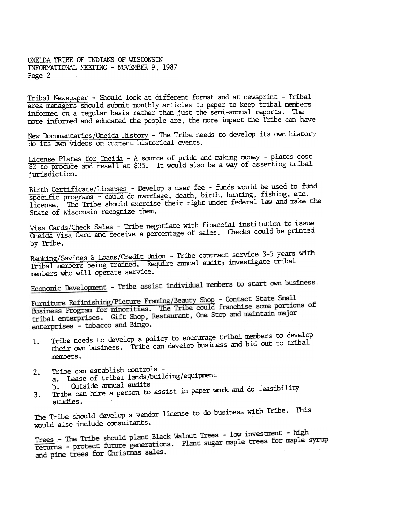ONETDA TRIBE OF INDIANS OF WISCONSIN INFORMATIONAL MEETING - NOVEMBER 9, 1987 Page 2

Tribal Newspaper - Should look at different format and at newsprint - Tribal area managers should submit monthly articles to paper to keep tribal members informed on a regular basis rather than just the semi-annual reports. The more informed and educated the people are, the more impact the Tribe can have

New Documentaries/Oneida History - The Tribe needs to develop its own history do its own videos on current historical events.

License Plates for Oneida -A source of pride and making money -plates cost \$2 to produce and resell at \$35. It would also be a way of asserting tribal jurisdiction.

Birth Certificate/Licenses - Develop a user fee - funds would be used to fund specific programs - could do marriage, death, birth, hunting, fishing, etc. license. The Tribe should exercise their right under federal law and make the State of Wisconsin recognize then.

Visa Cards/Check Sales - Tribe negotiate with financial institution to issue Oneida Visa Card and receive a percentage of sales. Checks could be printed by Tribe.

Banking/Savings & Loans/Credit Union - Tribe contract service 3-5 years with Tribal members being trained. Require annual audit; investigate tribal members who will operate service.

Economic Development - Tribe assist individual members to start own business.

Furniture Refinishing/Picture Framing/Beauty Shop - Contact State Small Furniture Refinishing/Picture Framing/Beauty Shop - Contact State Care<br>Business Program for minorities. The Tribe could franchise some portions of Business Program for minorities. The ITDe count francisc some person<br>tribal enterprises. Gift Shop, Restaurant, One Stop and maintain major enterprises - tobacco and Bingo.

- Tribe needs to develop a policy to encourage tribal nenbers to develop their own business. Tribe can develop business and bid out to tribal 1. members.
- Tribe can establish controls  $2.$ 
	- a. Lease of tribal lands/building/equipment<br>b. Outside ammual audits
		-
- Tribe can hire a person to assist in paper work and do feasibility studies. 3.

The Tribe should develop a vendor license to do business with Tribe. This would also include consultants.

Trees - The Tribe should plant Black Walmut Trees - low investment - high Trees - The Tribe should plant Black Walmut Irees - Iow Investment Trees<br>returns - protect future generations. Plant sugar maple trees for maple syrup and pine trees for Christmas sales.